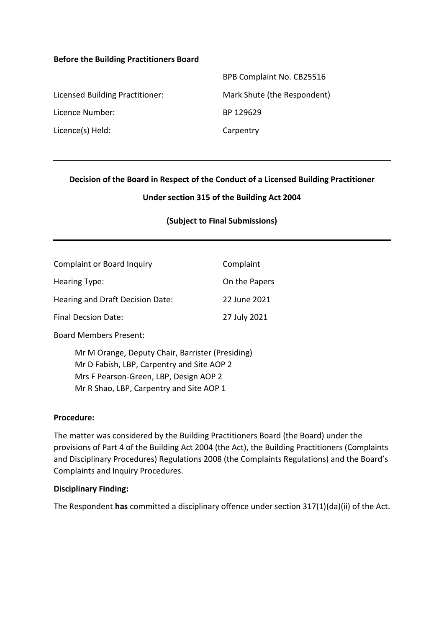#### **Before the Building Practitioners Board**

|                                 | BPB Complaint No. CB25516   |
|---------------------------------|-----------------------------|
| Licensed Building Practitioner: | Mark Shute (the Respondent) |
| Licence Number:                 | BP 129629                   |
| Licence(s) Held:                | Carpentry                   |

### **Decision of the Board in Respect of the Conduct of a Licensed Building Practitioner**

### **Under section 315 of the Building Act 2004**

### **(Subject to Final Submissions)**

| <b>Complaint or Board Inquiry</b> | Complaint     |
|-----------------------------------|---------------|
| Hearing Type:                     | On the Papers |
| Hearing and Draft Decision Date:  | 22 June 2021  |
| Final Decsion Date:               | 27 July 2021  |

Board Members Present:

Mr M Orange, Deputy Chair, Barrister (Presiding) Mr D Fabish, LBP, Carpentry and Site AOP 2 Mrs F Pearson-Green, LBP, Design AOP 2 Mr R Shao, LBP, Carpentry and Site AOP 1

#### **Procedure:**

The matter was considered by the Building Practitioners Board (the Board) under the provisions of Part 4 of the Building Act 2004 (the Act), the Building Practitioners (Complaints and Disciplinary Procedures) Regulations 2008 (the Complaints Regulations) and the Board's Complaints and Inquiry Procedures.

#### **Disciplinary Finding:**

The Respondent **has** committed a disciplinary offence under section 317(1)(da)(ii) of the Act.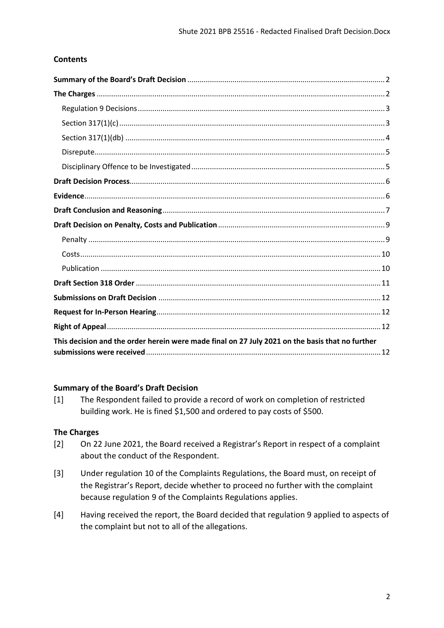### **Contents**

| This decision and the order herein were made final on 27 July 2021 on the basis that no further |
|-------------------------------------------------------------------------------------------------|

### <span id="page-1-0"></span>**Summary of the Board's Draft Decision**

[1] The Respondent failed to provide a record of work on completion of restricted building work. He is fined \$1,500 and ordered to pay costs of \$500.

### <span id="page-1-1"></span>**The Charges**

- [2] On 22 June 2021, the Board received a Registrar's Report in respect of a complaint about the conduct of the Respondent.
- [3] Under regulation 10 of the Complaints Regulations, the Board must, on receipt of the Registrar's Report, decide whether to proceed no further with the complaint because regulation 9 of the Complaints Regulations applies.
- [4] Having received the report, the Board decided that regulation 9 applied to aspects of the complaint but not to all of the allegations.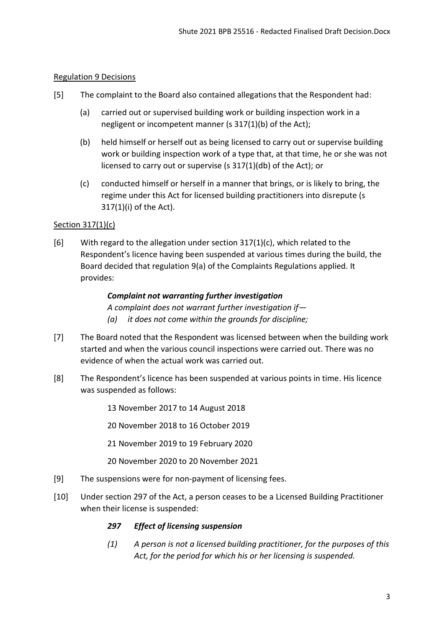### <span id="page-2-0"></span>Regulation 9 Decisions

- [5] The complaint to the Board also contained allegations that the Respondent had:
	- (a) carried out or supervised building work or building inspection work in a negligent or incompetent manner (s 317(1)(b) of the Act);
	- (b) held himself or herself out as being licensed to carry out or supervise building work or building inspection work of a type that, at that time, he or she was not licensed to carry out or supervise (s 317(1)(db) of the Act); or
	- (c) conducted himself or herself in a manner that brings, or is likely to bring, the regime under this Act for licensed building practitioners into disrepute (s 317(1)(i) of the Act).

### <span id="page-2-1"></span>Section 317(1)(c)

[6] With regard to the allegation under section 317(1)(c), which related to the Respondent's licence having been suspended at various times during the build, the Board decided that regulation 9(a) of the Complaints Regulations applied. It provides:

### *Complaint not warranting further investigation*

*A complaint does not warrant further investigation if— (a) it does not come within the grounds for discipline;* 

- [7] The Board noted that the Respondent was licensed between when the building work started and when the various council inspections were carried out. There was no evidence of when the actual work was carried out.
- [8] The Respondent's licence has been suspended at various points in time. His licence was suspended as follows:

13 November 2017 to 14 August 2018

20 November 2018 to 16 October 2019

21 November 2019 to 19 February 2020

20 November 2020 to 20 November 2021

- [9] The suspensions were for non-payment of licensing fees.
- [10] Under section 297 of the Act, a person ceases to be a Licensed Building Practitioner when their license is suspended:

### *297 Effect of licensing suspension*

*(1) A person is not a licensed building practitioner, for the purposes of this Act, for the period for which his or her licensing is suspended.*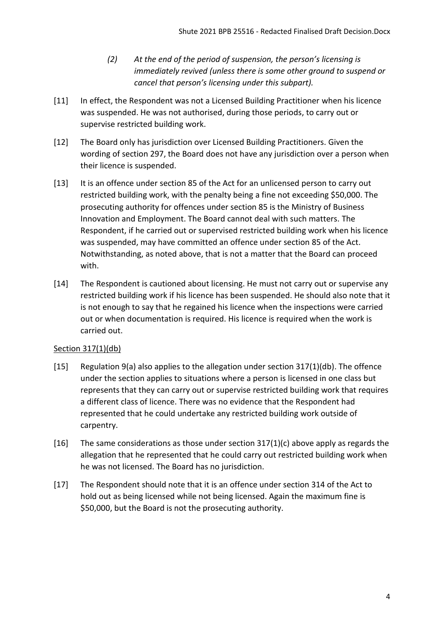- *(2) At the end of the period of suspension, the person's licensing is immediately revived (unless there is some other ground to suspend or cancel that person's licensing under this subpart).*
- [11] In effect, the Respondent was not a Licensed Building Practitioner when his licence was suspended. He was not authorised, during those periods, to carry out or supervise restricted building work.
- [12] The Board only has jurisdiction over Licensed Building Practitioners. Given the wording of section 297, the Board does not have any jurisdiction over a person when their licence is suspended.
- [13] It is an offence under section 85 of the Act for an unlicensed person to carry out restricted building work, with the penalty being a fine not exceeding \$50,000. The prosecuting authority for offences under section 85 is the Ministry of Business Innovation and Employment. The Board cannot deal with such matters. The Respondent, if he carried out or supervised restricted building work when his licence was suspended, may have committed an offence under section 85 of the Act. Notwithstanding, as noted above, that is not a matter that the Board can proceed with.
- [14] The Respondent is cautioned about licensing. He must not carry out or supervise any restricted building work if his licence has been suspended. He should also note that it is not enough to say that he regained his licence when the inspections were carried out or when documentation is required. His licence is required when the work is carried out.

### <span id="page-3-0"></span>Section 317(1)(db)

- [15] Regulation 9(a) also applies to the allegation under section 317(1)(db). The offence under the section applies to situations where a person is licensed in one class but represents that they can carry out or supervise restricted building work that requires a different class of licence. There was no evidence that the Respondent had represented that he could undertake any restricted building work outside of carpentry.
- [16] The same considerations as those under section  $317(1)(c)$  above apply as regards the allegation that he represented that he could carry out restricted building work when he was not licensed. The Board has no jurisdiction.
- [17] The Respondent should note that it is an offence under section 314 of the Act to hold out as being licensed while not being licensed. Again the maximum fine is \$50,000, but the Board is not the prosecuting authority.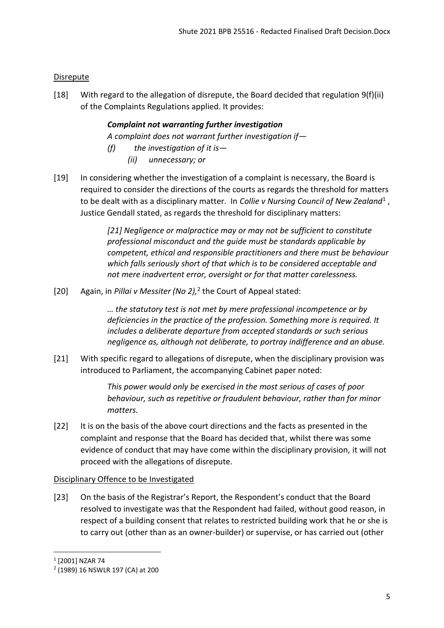### <span id="page-4-0"></span>**Disrepute**

[18] With regard to the allegation of disrepute, the Board decided that regulation 9(f)(ii) of the Complaints Regulations applied. It provides:

# *Complaint not warranting further investigation*

*A complaint does not warrant further investigation if—*

- *(f) the investigation of it is—*
	- *(ii) unnecessary; or*
- [19] In considering whether the investigation of a complaint is necessary, the Board is required to consider the directions of the courts as regards the threshold for matters to be dealt with as a disciplinary matter. In *Collie v Nursing Council of New Zealand*<sup>1</sup>, Justice Gendall stated, as regards the threshold for disciplinary matters:

*[21] Negligence or malpractice may or may not be sufficient to constitute professional misconduct and the guide must be standards applicable by competent, ethical and responsible practitioners and there must be behaviour which falls seriously short of that which is to be considered acceptable and not mere inadvertent error, oversight or for that matter carelessness.*

[20] Again, in *Pillai v Messiter (No 2),* 2 the Court of Appeal stated:

*… the statutory test is not met by mere professional incompetence or by deficiencies in the practice of the profession. Something more is required. It includes a deliberate departure from accepted standards or such serious negligence as, although not deliberate, to portray indifference and an abuse.*

[21] With specific regard to allegations of disrepute, when the disciplinary provision was introduced to Parliament, the accompanying Cabinet paper noted:

> *This power would only be exercised in the most serious of cases of poor behaviour, such as repetitive or fraudulent behaviour, rather than for minor matters.*

[22] It is on the basis of the above court directions and the facts as presented in the complaint and response that the Board has decided that, whilst there was some evidence of conduct that may have come within the disciplinary provision, it will not proceed with the allegations of disrepute.

### <span id="page-4-1"></span>Disciplinary Offence to be Investigated

[23] On the basis of the Registrar's Report, the Respondent's conduct that the Board resolved to investigate was that the Respondent had failed, without good reason, in respect of a building consent that relates to restricted building work that he or she is to carry out (other than as an owner-builder) or supervise, or has carried out (other

1

<sup>1</sup> [2001] NZAR 74

<sup>2</sup> (1989) 16 NSWLR 197 (CA) at 200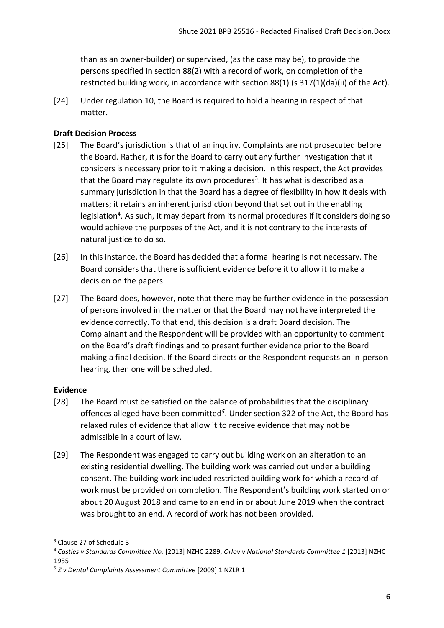than as an owner-builder) or supervised, (as the case may be), to provide the persons specified in section 88(2) with a record of work, on completion of the restricted building work, in accordance with section 88(1) (s 317(1)(da)(ii) of the Act).

[24] Under regulation 10, the Board is required to hold a hearing in respect of that matter.

## <span id="page-5-0"></span>**Draft Decision Process**

- [25] The Board's jurisdiction is that of an inquiry. Complaints are not prosecuted before the Board. Rather, it is for the Board to carry out any further investigation that it considers is necessary prior to it making a decision. In this respect, the Act provides that the Board may regulate its own procedures<sup>3</sup>. It has what is described as a summary jurisdiction in that the Board has a degree of flexibility in how it deals with matters; it retains an inherent jurisdiction beyond that set out in the enabling legislation<sup>4</sup>. As such, it may depart from its normal procedures if it considers doing so would achieve the purposes of the Act, and it is not contrary to the interests of natural justice to do so.
- [26] In this instance, the Board has decided that a formal hearing is not necessary. The Board considers that there is sufficient evidence before it to allow it to make a decision on the papers.
- [27] The Board does, however, note that there may be further evidence in the possession of persons involved in the matter or that the Board may not have interpreted the evidence correctly. To that end, this decision is a draft Board decision. The Complainant and the Respondent will be provided with an opportunity to comment on the Board's draft findings and to present further evidence prior to the Board making a final decision. If the Board directs or the Respondent requests an in-person hearing, then one will be scheduled.

### <span id="page-5-1"></span>**Evidence**

- [28] The Board must be satisfied on the balance of probabilities that the disciplinary offences alleged have been committed*<sup>5</sup>* . Under section 322 of the Act, the Board has relaxed rules of evidence that allow it to receive evidence that may not be admissible in a court of law.
- [29] The Respondent was engaged to carry out building work on an alteration to an existing residential dwelling. The building work was carried out under a building consent. The building work included restricted building work for which a record of work must be provided on completion. The Respondent's building work started on or about 20 August 2018 and came to an end in or about June 2019 when the contract was brought to an end. A record of work has not been provided.

1

<sup>3</sup> Clause 27 of Schedule 3

<sup>4</sup> *Castles v Standards Committee No.* [2013] NZHC 2289, *Orlov v National Standards Committee 1* [2013] NZHC 1955

<sup>5</sup> *Z v Dental Complaints Assessment Committee* [2009] 1 NZLR 1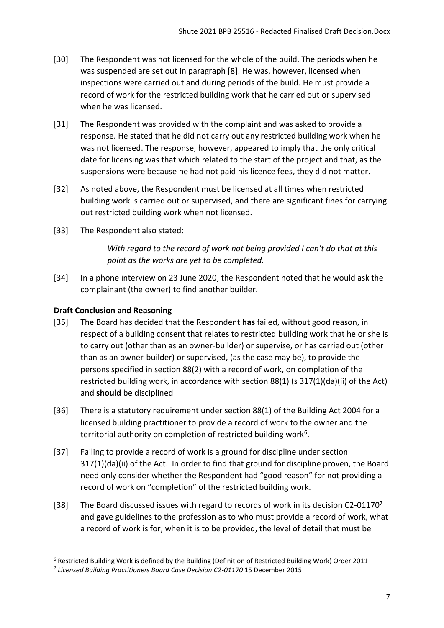- [30] The Respondent was not licensed for the whole of the build. The periods when he was suspended are set out in paragraph [8]. He was, however, licensed when inspections were carried out and during periods of the build. He must provide a record of work for the restricted building work that he carried out or supervised when he was licensed.
- [31] The Respondent was provided with the complaint and was asked to provide a response. He stated that he did not carry out any restricted building work when he was not licensed. The response, however, appeared to imply that the only critical date for licensing was that which related to the start of the project and that, as the suspensions were because he had not paid his licence fees, they did not matter.
- [32] As noted above, the Respondent must be licensed at all times when restricted building work is carried out or supervised, and there are significant fines for carrying out restricted building work when not licensed.
- [33] The Respondent also stated:

*With regard to the record of work not being provided I can't do that at this point as the works are yet to be completed.* 

[34] In a phone interview on 23 June 2020, the Respondent noted that he would ask the complainant (the owner) to find another builder.

### <span id="page-6-0"></span>**Draft Conclusion and Reasoning**

1

- [35] The Board has decided that the Respondent **has** failed, without good reason, in respect of a building consent that relates to restricted building work that he or she is to carry out (other than as an owner-builder) or supervise, or has carried out (other than as an owner-builder) or supervised, (as the case may be), to provide the persons specified in section 88(2) with a record of work, on completion of the restricted building work, in accordance with section 88(1) (s 317(1)(da)(ii) of the Act) and **should** be disciplined
- [36] There is a statutory requirement under section 88(1) of the Building Act 2004 for a licensed building practitioner to provide a record of work to the owner and the territorial authority on completion of restricted building work<sup>6</sup>.
- [37] Failing to provide a record of work is a ground for discipline under section 317(1)(da)(ii) of the Act. In order to find that ground for discipline proven, the Board need only consider whether the Respondent had "good reason" for not providing a record of work on "completion" of the restricted building work.
- [38] The Board discussed issues with regard to records of work in its decision C2-01170<sup>7</sup> and gave guidelines to the profession as to who must provide a record of work, what a record of work is for, when it is to be provided, the level of detail that must be

<sup>6</sup> Restricted Building Work is defined by the Building (Definition of Restricted Building Work) Order 2011

<sup>&</sup>lt;sup>7</sup> Licensed Building Practitioners Board Case Decision C2-01170 15 December 2015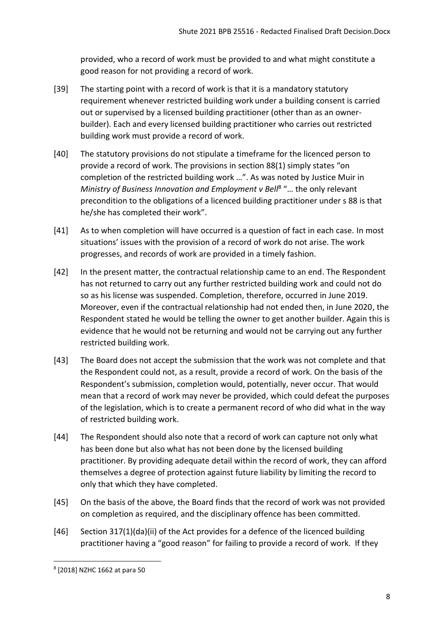provided, who a record of work must be provided to and what might constitute a good reason for not providing a record of work.

- [39] The starting point with a record of work is that it is a mandatory statutory requirement whenever restricted building work under a building consent is carried out or supervised by a licensed building practitioner (other than as an ownerbuilder). Each and every licensed building practitioner who carries out restricted building work must provide a record of work.
- [40] The statutory provisions do not stipulate a timeframe for the licenced person to provide a record of work. The provisions in section 88(1) simply states "on completion of the restricted building work …". As was noted by Justice Muir in Ministry of Business Innovation and Employment v Bell<sup>8</sup> "... the only relevant precondition to the obligations of a licenced building practitioner under s 88 is that he/she has completed their work".
- [41] As to when completion will have occurred is a question of fact in each case. In most situations' issues with the provision of a record of work do not arise. The work progresses, and records of work are provided in a timely fashion.
- [42] In the present matter, the contractual relationship came to an end. The Respondent has not returned to carry out any further restricted building work and could not do so as his license was suspended. Completion, therefore, occurred in June 2019. Moreover, even if the contractual relationship had not ended then, in June 2020, the Respondent stated he would be telling the owner to get another builder. Again this is evidence that he would not be returning and would not be carrying out any further restricted building work.
- [43] The Board does not accept the submission that the work was not complete and that the Respondent could not, as a result, provide a record of work. On the basis of the Respondent's submission, completion would, potentially, never occur. That would mean that a record of work may never be provided, which could defeat the purposes of the legislation, which is to create a permanent record of who did what in the way of restricted building work.
- [44] The Respondent should also note that a record of work can capture not only what has been done but also what has not been done by the licensed building practitioner. By providing adequate detail within the record of work, they can afford themselves a degree of protection against future liability by limiting the record to only that which they have completed.
- [45] On the basis of the above, the Board finds that the record of work was not provided on completion as required, and the disciplinary offence has been committed.
- [46] Section 317(1)(da)(ii) of the Act provides for a defence of the licenced building practitioner having a "good reason" for failing to provide a record of work. If they

**.** 

<sup>8</sup> [2018] NZHC 1662 at para 50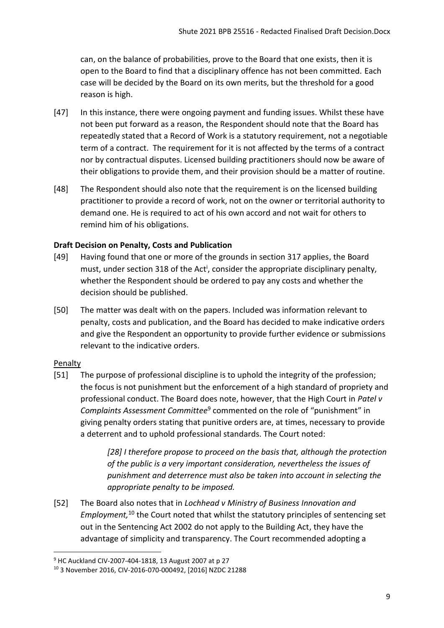can, on the balance of probabilities, prove to the Board that one exists, then it is open to the Board to find that a disciplinary offence has not been committed. Each case will be decided by the Board on its own merits, but the threshold for a good reason is high.

- [47] In this instance, there were ongoing payment and funding issues. Whilst these have not been put forward as a reason, the Respondent should note that the Board has repeatedly stated that a Record of Work is a statutory requirement, not a negotiable term of a contract. The requirement for it is not affected by the terms of a contract nor by contractual disputes. Licensed building practitioners should now be aware of their obligations to provide them, and their provision should be a matter of routine.
- [48] The Respondent should also note that the requirement is on the licensed building practitioner to provide a record of work, not on the owner or territorial authority to demand one. He is required to act of his own accord and not wait for others to remind him of his obligations.

# <span id="page-8-0"></span>**Draft Decision on Penalty, Costs and Publication**

- [49] Having found that one or more of the grounds in section 317 applies, the Board must, under section 318 of the Act<sup>i</sup>, consider the appropriate disciplinary penalty, whether the Respondent should be ordered to pay any costs and whether the decision should be published.
- [50] The matter was dealt with on the papers. Included was information relevant to penalty, costs and publication, and the Board has decided to make indicative orders and give the Respondent an opportunity to provide further evidence or submissions relevant to the indicative orders.

# <span id="page-8-1"></span>Penalty

1

[51] The purpose of professional discipline is to uphold the integrity of the profession; the focus is not punishment but the enforcement of a high standard of propriety and professional conduct. The Board does note, however, that the High Court in *Patel v*  Complaints Assessment Committee<sup>9</sup> commented on the role of "punishment" in giving penalty orders stating that punitive orders are, at times, necessary to provide a deterrent and to uphold professional standards. The Court noted:

> *[28] I therefore propose to proceed on the basis that, although the protection of the public is a very important consideration, nevertheless the issues of punishment and deterrence must also be taken into account in selecting the appropriate penalty to be imposed.*

[52] The Board also notes that in *Lochhead v Ministry of Business Innovation and Employment,* <sup>10</sup> the Court noted that whilst the statutory principles of sentencing set out in the Sentencing Act 2002 do not apply to the Building Act, they have the advantage of simplicity and transparency. The Court recommended adopting a

<sup>9</sup> HC Auckland CIV-2007-404-1818, 13 August 2007 at p 27

<sup>10</sup> 3 November 2016, CIV-2016-070-000492, [2016] NZDC 21288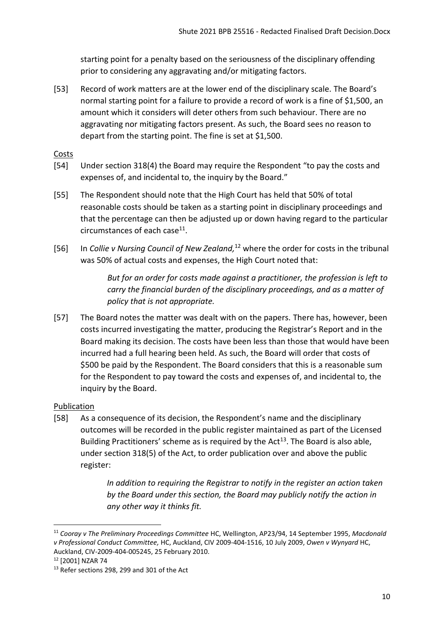starting point for a penalty based on the seriousness of the disciplinary offending prior to considering any aggravating and/or mitigating factors.

[53] Record of work matters are at the lower end of the disciplinary scale. The Board's normal starting point for a failure to provide a record of work is a fine of \$1,500, an amount which it considers will deter others from such behaviour. There are no aggravating nor mitigating factors present. As such, the Board sees no reason to depart from the starting point. The fine is set at \$1,500.

<span id="page-9-0"></span>Costs

- [54] Under section 318(4) the Board may require the Respondent "to pay the costs and expenses of, and incidental to, the inquiry by the Board."
- [55] The Respondent should note that the High Court has held that 50% of total reasonable costs should be taken as a starting point in disciplinary proceedings and that the percentage can then be adjusted up or down having regard to the particular circumstances of each case<sup>11</sup>.
- [56] In *Collie v Nursing Council of New Zealand,* <sup>12</sup> where the order for costs in the tribunal was 50% of actual costs and expenses, the High Court noted that:

*But for an order for costs made against a practitioner, the profession is left to carry the financial burden of the disciplinary proceedings, and as a matter of policy that is not appropriate.*

[57] The Board notes the matter was dealt with on the papers. There has, however, been costs incurred investigating the matter, producing the Registrar's Report and in the Board making its decision. The costs have been less than those that would have been incurred had a full hearing been held. As such, the Board will order that costs of \$500 be paid by the Respondent. The Board considers that this is a reasonable sum for the Respondent to pay toward the costs and expenses of, and incidental to, the inquiry by the Board.

### <span id="page-9-1"></span>Publication

[58] As a consequence of its decision, the Respondent's name and the disciplinary outcomes will be recorded in the public register maintained as part of the Licensed Building Practitioners' scheme as is required by the  $Act^{13}$ . The Board is also able, under section 318(5) of the Act, to order publication over and above the public register:

> *In addition to requiring the Registrar to notify in the register an action taken by the Board under this section, the Board may publicly notify the action in any other way it thinks fit.*

**.** 

<sup>11</sup> *Cooray v The Preliminary Proceedings Committee* HC, Wellington, AP23/94, 14 September 1995, *Macdonald v Professional Conduct Committee,* HC, Auckland, CIV 2009-404-1516, 10 July 2009, *Owen v Wynyard* HC, Auckland, CIV-2009-404-005245, 25 February 2010.

<sup>12</sup> [2001] NZAR 74

<sup>&</sup>lt;sup>13</sup> Refer sections 298, 299 and 301 of the Act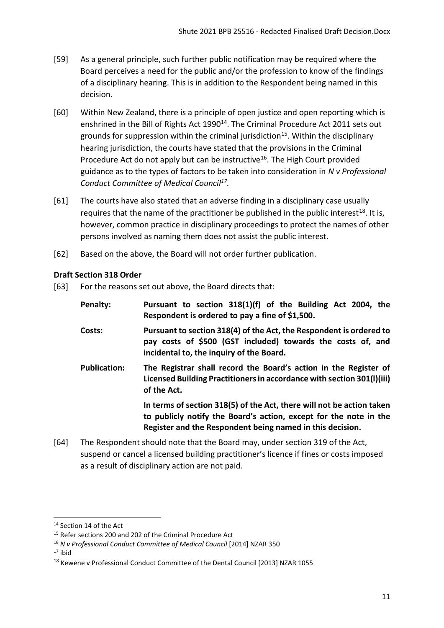- [59] As a general principle, such further public notification may be required where the Board perceives a need for the public and/or the profession to know of the findings of a disciplinary hearing. This is in addition to the Respondent being named in this decision.
- [60] Within New Zealand, there is a principle of open justice and open reporting which is enshrined in the Bill of Rights Act 1990<sup>14</sup>. The Criminal Procedure Act 2011 sets out grounds for suppression within the criminal jurisdiction<sup>15</sup>. Within the disciplinary hearing jurisdiction, the courts have stated that the provisions in the Criminal Procedure Act do not apply but can be instructive<sup>16</sup>. The High Court provided guidance as to the types of factors to be taken into consideration in *N v Professional Conduct Committee of Medical Council 17 .*
- [61] The courts have also stated that an adverse finding in a disciplinary case usually requires that the name of the practitioner be published in the public interest<sup>18</sup>. It is, however, common practice in disciplinary proceedings to protect the names of other persons involved as naming them does not assist the public interest.
- [62] Based on the above, the Board will not order further publication.

### <span id="page-10-0"></span>**Draft Section 318 Order**

[63] For the reasons set out above, the Board directs that:

| Penalty:            | Pursuant to section 318(1)(f) of the Building Act 2004, the<br>Respondent is ordered to pay a fine of \$1,500.                                                                                          |
|---------------------|---------------------------------------------------------------------------------------------------------------------------------------------------------------------------------------------------------|
| Costs:              | Pursuant to section 318(4) of the Act, the Respondent is ordered to<br>pay costs of \$500 (GST included) towards the costs of, and<br>incidental to, the inquiry of the Board.                          |
| <b>Publication:</b> | The Registrar shall record the Board's action in the Register of<br>Licensed Building Practitioners in accordance with section 301(I)(iii)<br>of the Act.                                               |
|                     | In terms of section 318(5) of the Act, there will not be action taken<br>to publicly notify the Board's action, except for the note in the<br>Register and the Respondent being named in this decision. |

[64] The Respondent should note that the Board may, under section 319 of the Act, suspend or cancel a licensed building practitioner's licence if fines or costs imposed as a result of disciplinary action are not paid.

 $17$  ibid

<span id="page-10-1"></span> $\overline{a}$ 

<sup>&</sup>lt;sup>14</sup> Section 14 of the Act

<sup>&</sup>lt;sup>15</sup> Refer sections 200 and 202 of the Criminal Procedure Act

<sup>16</sup> *N v Professional Conduct Committee of Medical Council* [2014] NZAR 350

<sup>&</sup>lt;sup>18</sup> Kewene v Professional Conduct Committee of the Dental Council [2013] NZAR 1055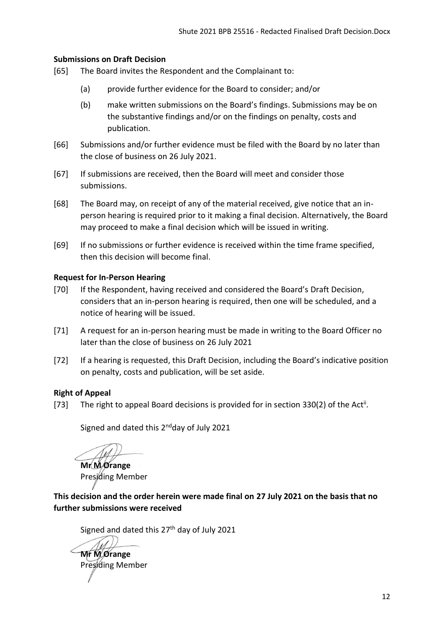### **Submissions on Draft Decision**

- [65] The Board invites the Respondent and the Complainant to:
	- (a) provide further evidence for the Board to consider; and/or
	- (b) make written submissions on the Board's findings. Submissions may be on the substantive findings and/or on the findings on penalty, costs and publication.
- [66] Submissions and/or further evidence must be filed with the Board by no later than the close of business on 26 July 2021.
- [67] If submissions are received, then the Board will meet and consider those submissions.
- [68] The Board may, on receipt of any of the material received, give notice that an inperson hearing is required prior to it making a final decision. Alternatively, the Board may proceed to make a final decision which will be issued in writing.
- [69] If no submissions or further evidence is received within the time frame specified, then this decision will become final.

### <span id="page-11-0"></span>**Request for In-Person Hearing**

- [70] If the Respondent, having received and considered the Board's Draft Decision, considers that an in-person hearing is required, then one will be scheduled, and a notice of hearing will be issued.
- [71] A request for an in-person hearing must be made in writing to the Board Officer no later than the close of business on 26 July 2021
- [72] If a hearing is requested, this Draft Decision, including the Board's indicative position on penalty, costs and publication, will be set aside.

### <span id="page-11-1"></span>**Right of Appeal**

[73] The right to appeal Board decisions is provided for in section 330(2) of the Act<sup>ii</sup>.

Signed and dated this 2<sup>nd</sup>day of July 2021

**Mr M Orange**  Presiding Member

<span id="page-11-2"></span>**This decision and the order herein were made final on 27 July 2021 on the basis that no further submissions were received** 

Signed and dated this 27<sup>th</sup> day of July 2021

**Mr** *MOrange* Presiding Member